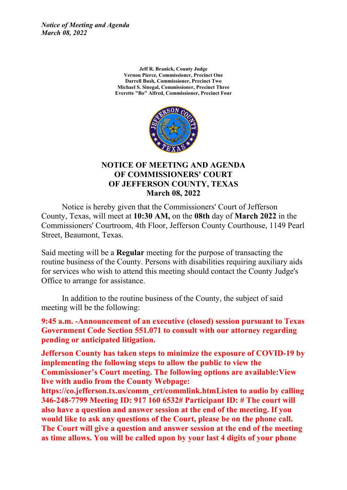> **Jeff R. Branick, County Judge Vernon Pierce, Commissioner, Precinct One Darrell Bush, Commissioner, Precinct Two Michael S. Sinegal, Commissioner, Precinct Three Everette "Bo" Alfred, Commissioner, Precinct Four**



### **NOTICE OF MEETING AND AGENDA OF COMMISSIONERS' COURT OF JEFFERSON COUNTY, TEXAS March 08, 2022**

Notice is hereby given that the Commissioners' Court of Jefferson County, Texas, will meet at **10:30 AM,** on the **08th** day of **March 2022** in the Commissioners' Courtroom, 4th Floor, Jefferson County Courthouse, 1149 Pearl Street, Beaumont, Texas.

Said meeting will be <sup>a</sup> **Regular** meeting for the purpose of transacting the routine business of the County. Persons with disabilities requiring auxiliary aids for services who wish to attend this meeting should contact the County Judge's Office to arrange for assistance.

In addition to the routine business of the County, the subject of said meeting will be the following:

**9:45 a.m. -Announcement of an executive (closed) session pursuant to Texas Government Code Section 551.071 to consult with our attorney regarding pending or anticipated litigation.**

**Jefferson County has taken steps to minimize the exposure of COVID-19 by implementing the following steps to allow the public to view the Commissioner's Court meeting. The following options are available:View live with audio from the County Webpage:**

**https://co.jefferson.tx.us/comm\_crt/commlink.htmListen to audio by calling 346-248-7799 Meeting ID: 917 160 6532# Participant ID: # The court will also have <sup>a</sup> question and answer session at the end of the meeting. If you would like to ask any questions of the Court, please be on the phone call. The Court will give <sup>a</sup> question and answer session at the end of the meeting as time allows. You will be called upon by your last 4 digits of your phone**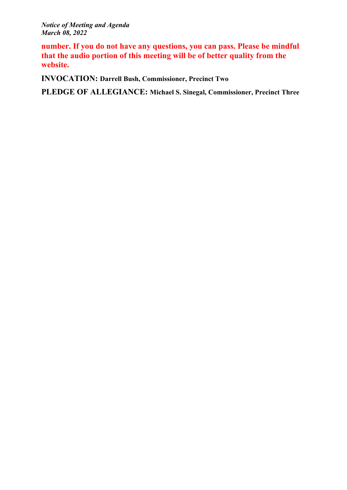**number. If you do not have any questions, you can pass. Please be mindful that the audio portion of this meeting will be of better quality from the website.**

**INVOCATION: Darrell Bush, Commissioner, Precinct Two**

**PLEDGE OF ALLEGIANCE: Michael S. Sinegal, Commissioner, Precinct Three**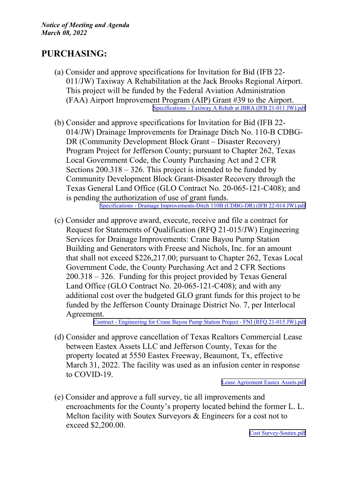## **PURCHASING:**

- (a) Consider and approve specifications for Invitation for Bid (IFB 22- 011/JW) Taxiway A Rehabilitation at the Jack Brooks Regional Airport. This project will be funded by the Federal Aviation Administration (FAA) Airport Improvement Program (AIP) Grant #39 to the Airport. [Specifications](http://co.jefferson.tx.us/agenda/agendas_pl/20220308_681/Attachments/Specifications - Taxiway A Rehab at JBRA (IFB 21-011 JW).pdf) - Taxiway A Rehab at JBRA (IFB 21-011 JW).pdf
- (b) Consider and approve specifications for Invitation for Bid (IFB 22- 014/JW) Drainage Improvements for Drainage Ditch No. 110-B CDBG-DR (Community Development Block Grant – Disaster Recovery) Program Project for Jefferson County; pursuan<sup>t</sup> to Chapter 262, Texas Local Government Code, the County Purchasing Act and 2 CFR Sections 200.318 – 326. This project is intended to be funded by Community Development Block Grant-Disaster Recovery through the Texas General Land Office (GLO Contract No. 20-065-121-C408); and is pending the authorization of use of gran<sup>t</sup> funds.

Specifications - Drainage [Improvements-Ditch](http://co.jefferson.tx.us/agenda/agendas_pl/20220308_681/Attachments/Specifications - Drainage Improvements-Ditch 110B (CDBG-DR) (IFB 22-014 JW).pdf) 110B (CDBG-DR) (IFB 22-014 JW).pdf

(c) Consider and approve award, execute, receive and file <sup>a</sup> contract for Request for Statements of Qualification (RFQ 21-015/JW) Engineering Services for Drainage Improvements: Crane Bayou Pump Station Building and Generators with Freese and Nichols, Inc. for an amount that shall not exceed \$226,217.00; pursuan<sup>t</sup> to Chapter 262, Texas Local Government Code, the County Purchasing Act and 2 CFR Sections 200.318 – 326. Funding for this project provided by Texas General Land Office (GLO Contract No. 20-065-121-C408); and with any additional cost over the budgeted GLO gran<sup>t</sup> funds for this project to be funded by the Jefferson County Drainage District No. 7, per Interlocal Agreement.

Contract - [Engineering](http://co.jefferson.tx.us/agenda/agendas_pl/20220308_681/Attachments/Contract - Engineering for Crane Bayou Pump Station Project - FNI (RFQ 21-015 JW).pdf) for Crane Bayou Pump Station Project - FNI (RFQ 21-015 JW).pdf

(d) Consider and approve cancellation of Texas Realtors Commercial Lease between Eastex Assets LLC and Jefferson County, Texas for the property located at 5550 Eastex Freeway, Beaumont, Tx, effective March 31, 2022. The facility was used as an infusion center in response to COVID-19.

Lease [Agreement](http://co.jefferson.tx.us/agenda/agendas_pl/20220308_681/Attachments/Lease Agreement Eastex Assets.pdf) Eastex Assets.pdf

(e) Consider and approve <sup>a</sup> full survey, tie all improvements and encroachments for the County's property located behind the former L. L. Melton facility with Soutex Surveyors & Engineers for <sup>a</sup> cost not to exceed \$2,200.00.

Cost [Survey-Soutex.pdf](http://co.jefferson.tx.us/agenda/agendas_pl/20220308_681/Attachments/Cost Survey-Soutex.pdf)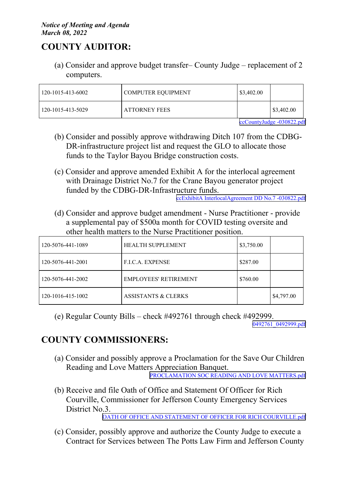# **COUNTY AUDITOR:**

(a) Consider and approve budget transfer– County Judge – replacement of 2 computers.

| $120 - 1015 - 413 - 6002$ | <b>COMPUTER EQUIPMENT</b> | $\frac{$3,402.00}{ }$ |                       |
|---------------------------|---------------------------|-----------------------|-----------------------|
| 120-1015-413-5029         | <b>ATTORNEY FEES</b>      |                       | $\frac{$3,402.00}{ }$ |

[ccCountyJudge](http://co.jefferson.tx.us/agenda/agendas_pl/20220308_681/Attachments/ccCountyJudge -030822.pdf) -030822.pdf

- (b) Consider and possibly approve withdrawing Ditch 107 from the CDBG-DR-infrastructure project list and reques<sup>t</sup> the GLO to allocate those funds to the Taylor Bayou Bridge construction costs.
- (c) Consider and approve amended Exhibit A for the interlocal agreemen<sup>t</sup> with Drainage District No.7 for the Crane Bayou generator project funded by the CDBG-DR-Infrastructure funds.

ccExhibitA [InterlocalAgreement](http://co.jefferson.tx.us/agenda/agendas_pl/20220308_681/Attachments/ccExhibitA InterlocalAgreement DD No.7 -030822.pdf) DD No.7 -030822.pdf

(d) Consider and approve budget amendment - Nurse Practitioner - provide <sup>a</sup> supplemental pay of \$500a month for COVID testing oversite and other health matters to the Nurse Practitioner position.

| 120-5076-441-1089 | <b>HEALTH SUPPLEMENT</b>       | \$3,750.00 |            |
|-------------------|--------------------------------|------------|------------|
| 120-5076-441-2001 | <b>F.L.C.A. EXPENSE</b>        | \$287.00   |            |
| 120-5076-441-2002 | EMPLOYEES' RETIREMENT          | \$760.00   |            |
| 120-1016-415-1002 | <b>ASSISTANTS &amp; CLERKS</b> |            | \$4,797.00 |

(e) Regular County Bills – check #492761 through check #492999.

[0492761\\_0492999.pdf](http://co.jefferson.tx.us/agenda/agendas_pl/20220308_681/Attachments/0492761_0492999.pdf)

# **COUNTY COMMISSIONERS:**

- (a) Consider and possibly approve <sup>a</sup> Proclamation for the Save Our Children Reading and Love Matters Appreciation Banquet. PROCLAMATION SOC READING AND LOVE [MATTERS.pdf](http://co.jefferson.tx.us/agenda/agendas_pl/20220308_681/Attachments/PROCLAMATION SOC READING AND LOVE MATTERS.pdf)
- (b) Receive and file Oath of Office and Statement Of Officer for Rich Courville, Commissioner for Jefferson County Emergency Services District No.3.

OATH OF OFFICE AND STATEMENT OF OFFICER FOR RICH [COURVILLE.pdf](http://co.jefferson.tx.us/agenda/agendas_pl/20220308_681/Attachments/OATH OF OFFICE AND STATEMENT OF OFFICER FOR RICH COURVILLE.pdf)

(c) Consider, possibly approve and authorize the County Judge to execute <sup>a</sup> Contract for Services between The Potts Law Firm and Jefferson County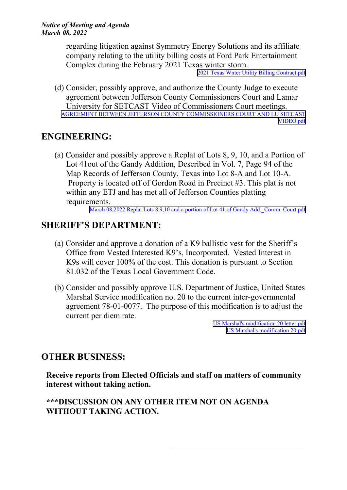regarding litigation against Symmetry Energy Solutions and its affiliate company relating to the utility billing costs at Ford Park Entertainment Complex during the February 2021 Texas winter storm.

2021 Texas Wnter Utility Billing [Contract.pdf](http://co.jefferson.tx.us/agenda/agendas_pl/20220308_681/Attachments/2021 Texas Wnter Utility Billing Contract.pdf)

(d) Consider, possibly approve, and authorize the County Judge to execute agreemen<sup>t</sup> between Jefferson County Commissioners Court and Lamar University for SETCAST Video of Commissioners Court meetings. AGREEMENT BETWEEN JEFFERSON COUNTY [COMMISSIONERS](http://co.jefferson.tx.us/agenda/agendas_pl/20220308_681/Attachments/AGREEMENT BETWEEN JEFFERSON COUNTY COMMISSIONERS COURT AND LU SETCAST VIDEO.pdf) COURT AND LU SETCAST [VIDEO.pdf](http://co.jefferson.tx.us/agenda/agendas_pl/20220308_681/Attachments/AGREEMENT BETWEEN JEFFERSON COUNTY COMMISSIONERS COURT AND LU SETCAST VIDEO.pdf)

### **ENGINEERING:**

(a) Consider and possibly approve <sup>a</sup> Replat of Lots 8, 9, 10, and <sup>a</sup> Portion of Lot 41out of the Gandy Addition, Described in Vol. 7, Page 94 of the Map Records of Jefferson County, Texas into Lot 8-A and Lot 10-A. Property is located off of Gordon Road in Precinct #3. This plat is not within any ETJ and has met all of Jefferson Counties platting requirements.

March 08,2022 Replat Lots 8,9,10 and a portion of Lot 41 of Gandy Add. Comm. Court.pdf

### **SHERIFF'S DEPARTMENT:**

- (a) Consider and approve <sup>a</sup> donation of <sup>a</sup> K9 ballistic vest for the Sheriff's Office from Vested Interested K9's, Incorporated. Vested Interest in K9s will cover 100% of the cost. This donation is pursuan<sup>t</sup> to Section 81.032 of the Texas Local Government Code.
- (b) Consider and possibly approve U.S. Department of Justice, United States Marshal Service modification no. 20 to the current inter-governmental agreemen<sup>t</sup> 78-01-0077. The purpose of this modification is to adjust the current per diem rate.

US Marshal's [modification](http://co.jefferson.tx.us/agenda/agendas_pl/20220308_681/Attachments/US Marshal) 20 letter.pdf US Marshal's [modification](http://co.jefferson.tx.us/agenda/agendas_pl/20220308_681/Attachments/US Marshal) 20.pdf

### **OTHER BUSINESS:**

**Receive reports from Elected Officials and staff on matters of community interest without taking action.**

### **\*\*\*DISCUSSION ON ANY OTHER ITEM NOT ON AGENDA WITHOUT TAKING ACTION.**